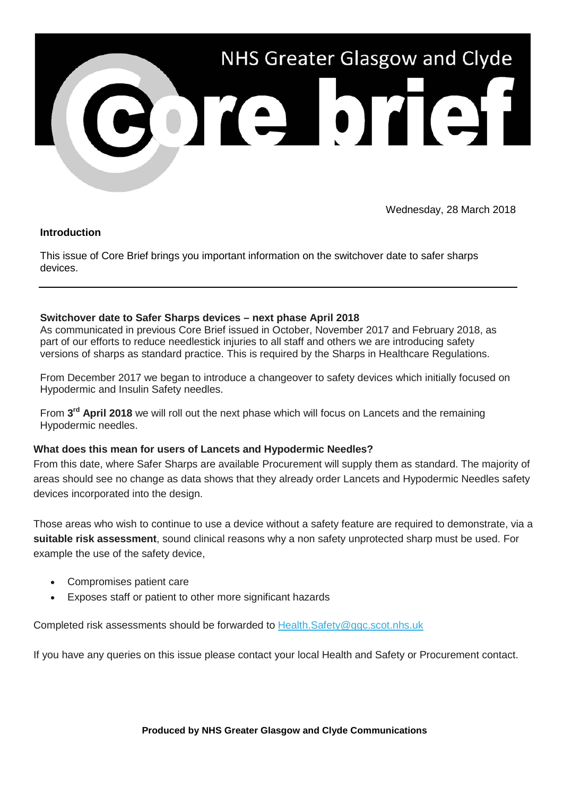

Wednesday, 28 March 2018

# **Introduction**

This issue of Core Brief brings you important information on the switchover date to safer sharps devices.

### **Switchover date to Safer Sharps devices – next phase April 2018**

As communicated in previous Core Brief issued in October, November 2017 and February 2018, as part of our efforts to reduce needlestick injuries to all staff and others we are introducing safety versions of sharps as standard practice. This is required by the Sharps in Healthcare Regulations.

From December 2017 we began to introduce a changeover to safety devices which initially focused on Hypodermic and Insulin Safety needles.

From **3rd April 2018** we will roll out the next phase which will focus on Lancets and the remaining Hypodermic needles.

# **What does this mean for users of Lancets and Hypodermic Needles?**

From this date, where Safer Sharps are available Procurement will supply them as standard. The majority of areas should see no change as data shows that they already order Lancets and Hypodermic Needles safety devices incorporated into the design.

Those areas who wish to continue to use a device without a safety feature are required to demonstrate, via a **suitable risk assessment**, sound clinical reasons why a non safety unprotected sharp must be used. For example the use of the safety device,

- Compromises patient care
- Exposes staff or patient to other more significant hazards

Completed risk assessments should be forwarded to [Health.Safety@ggc.scot.nhs.uk](mailto:Health.Safety@ggc.scot.nhs.uk)

If you have any queries on this issue please contact your local Health and Safety or Procurement contact.